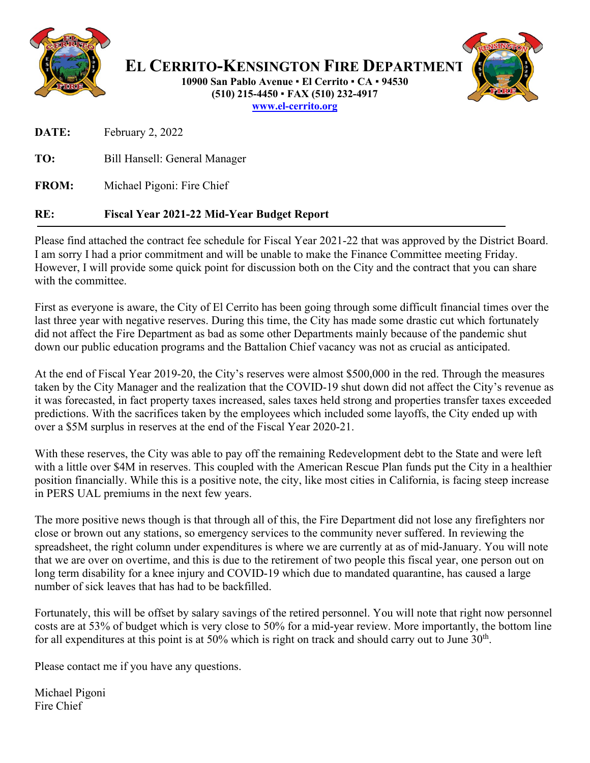

**EL CERRITO-KENSINGTON FIRE DEPARTMENT 10900 San Pablo Avenue El Cerrito CA 94530 (510) 215-4450 FAX (510) 232-4917 [www.el-cerrito.org](http://www.el-cerrito.org/)**

**DATE:** February 2, 2022

**TO:** Bill Hansell: General Manager

**FROM:** Michael Pigoni: Fire Chief

## **RE: Fiscal Year 2021-22 Mid-Year Budget Report**

Please find attached the contract fee schedule for Fiscal Year 2021-22 that was approved by the District Board. I am sorry I had a prior commitment and will be unable to make the Finance Committee meeting Friday. However, I will provide some quick point for discussion both on the City and the contract that you can share with the committee.

First as everyone is aware, the City of El Cerrito has been going through some difficult financial times over the last three year with negative reserves. During this time, the City has made some drastic cut which fortunately did not affect the Fire Department as bad as some other Departments mainly because of the pandemic shut down our public education programs and the Battalion Chief vacancy was not as crucial as anticipated.

At the end of Fiscal Year 2019-20, the City's reserves were almost \$500,000 in the red. Through the measures taken by the City Manager and the realization that the COVID-19 shut down did not affect the City's revenue as it was forecasted, in fact property taxes increased, sales taxes held strong and properties transfer taxes exceeded predictions. With the sacrifices taken by the employees which included some layoffs, the City ended up with over a \$5M surplus in reserves at the end of the Fiscal Year 2020-21.

With these reserves, the City was able to pay off the remaining Redevelopment debt to the State and were left with a little over \$4M in reserves. This coupled with the American Rescue Plan funds put the City in a healthier position financially. While this is a positive note, the city, like most cities in California, is facing steep increase in PERS UAL premiums in the next few years.

The more positive news though is that through all of this, the Fire Department did not lose any firefighters nor close or brown out any stations, so emergency services to the community never suffered. In reviewing the spreadsheet, the right column under expenditures is where we are currently at as of mid-January. You will note that we are over on overtime, and this is due to the retirement of two people this fiscal year, one person out on long term disability for a knee injury and COVID-19 which due to mandated quarantine, has caused a large number of sick leaves that has had to be backfilled.

Fortunately, this will be offset by salary savings of the retired personnel. You will note that right now personnel costs are at 53% of budget which is very close to 50% for a mid-year review. More importantly, the bottom line for all expenditures at this point is at 50% which is right on track and should carry out to June 30<sup>th</sup>.

Please contact me if you have any questions.

Michael Pigoni Fire Chief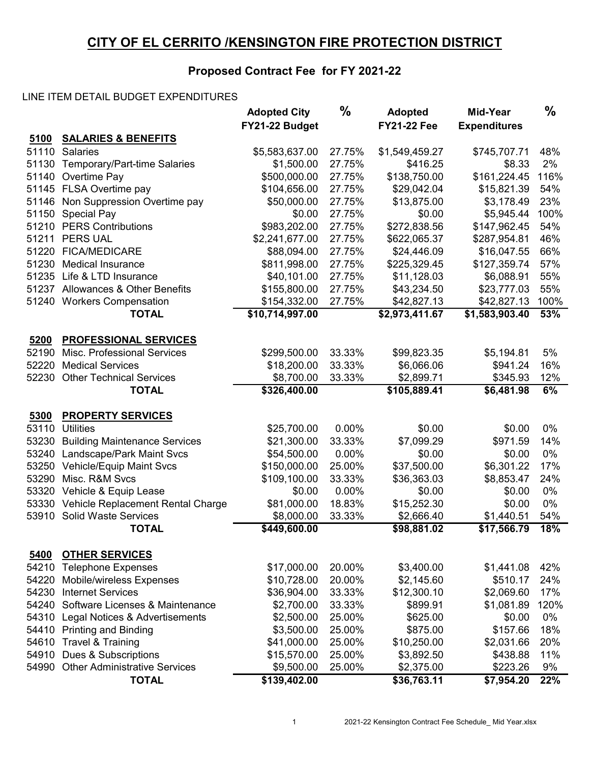## **CITY OF EL CERRITO /KENSINGTON FIRE PROTECTION DISTRICT**

## **Proposed Contract Fee for FY 2021-22**

## LINE ITEM DETAIL BUDGET EXPENDITURES

|       |                                      | <b>Adopted City</b><br>FY21-22 Budget | $\%$   | <b>Adopted</b><br><b>FY21-22 Fee</b> | Mid-Year            | $\frac{0}{0}$ |
|-------|--------------------------------------|---------------------------------------|--------|--------------------------------------|---------------------|---------------|
| 5100  | <b>SALARIES &amp; BENEFITS</b>       |                                       |        |                                      | <b>Expenditures</b> |               |
| 51110 | <b>Salaries</b>                      | \$5,583,637.00                        | 27.75% | \$1,549,459.27                       | \$745,707.71        | 48%           |
| 51130 | Temporary/Part-time Salaries         | \$1,500.00                            | 27.75% | \$416.25                             | \$8.33              | 2%            |
| 51140 | Overtime Pay                         | \$500,000.00                          | 27.75% | \$138,750.00                         | \$161,224.45        | 116%          |
| 51145 | FLSA Overtime pay                    | \$104,656.00                          | 27.75% | \$29,042.04                          | \$15,821.39         | 54%           |
| 51146 | Non Suppression Overtime pay         | \$50,000.00                           | 27.75% | \$13,875.00                          | \$3,178.49          | 23%           |
| 51150 | <b>Special Pay</b>                   | \$0.00                                | 27.75% | \$0.00                               | \$5,945.44          | 100%          |
| 51210 | <b>PERS Contributions</b>            | \$983,202.00                          | 27.75% | \$272,838.56                         | \$147,962.45        | 54%           |
| 51211 | <b>PERS UAL</b>                      | \$2,241,677.00                        | 27.75% | \$622,065.37                         | \$287,954.81        | 46%           |
| 51220 | <b>FICA/MEDICARE</b>                 | \$88,094.00                           | 27.75% | \$24,446.09                          | \$16,047.55         | 66%           |
| 51230 | <b>Medical Insurance</b>             | \$811,998.00                          | 27.75% | \$225,329.45                         | \$127,359.74        | 57%           |
| 51235 | Life & LTD Insurance                 | \$40,101.00                           | 27.75% | \$11,128.03                          | \$6,088.91          | 55%           |
|       | 51237 Allowances & Other Benefits    | \$155,800.00                          | 27.75% | \$43,234.50                          | \$23,777.03         | 55%           |
| 51240 | <b>Workers Compensation</b>          | \$154,332.00                          | 27.75% | \$42,827.13                          | \$42,827.13         | 100%          |
|       | <b>TOTAL</b>                         | \$10,714,997.00                       |        | \$2,973,411.67                       | \$1,583,903.40      | 53%           |
|       |                                      |                                       |        |                                      |                     |               |
| 5200  | <b>PROFESSIONAL SERVICES</b>         |                                       |        |                                      |                     |               |
| 52190 | Misc. Professional Services          | \$299,500.00                          | 33.33% | \$99,823.35                          | \$5,194.81          | 5%            |
| 52220 | <b>Medical Services</b>              | \$18,200.00                           | 33.33% | \$6,066.06                           | \$941.24            | 16%           |
| 52230 | <b>Other Technical Services</b>      | \$8,700.00                            | 33.33% | \$2,899.71                           | \$345.93            | 12%           |
|       | <b>TOTAL</b>                         | \$326,400.00                          |        | \$105,889.41                         | \$6,481.98          | 6%            |
|       |                                      |                                       |        |                                      |                     |               |
| 5300  | <b>PROPERTY SERVICES</b>             |                                       |        |                                      |                     |               |
| 53110 | <b>Utilities</b>                     | \$25,700.00                           | 0.00%  | \$0.00                               | \$0.00              | 0%            |
| 53230 | <b>Building Maintenance Services</b> | \$21,300.00                           | 33.33% | \$7,099.29                           | \$971.59            | 14%           |
| 53240 | Landscape/Park Maint Svcs            | \$54,500.00                           | 0.00%  | \$0.00                               | \$0.00              | 0%            |
| 53250 | Vehicle/Equip Maint Svcs             | \$150,000.00                          | 25.00% | \$37,500.00                          | \$6,301.22          | 17%           |
| 53290 | Misc. R&M Svcs                       | \$109,100.00                          | 33.33% | \$36,363.03                          | \$8,853.47          | 24%           |
| 53320 | Vehicle & Equip Lease                | \$0.00                                | 0.00%  | \$0.00                               | \$0.00              | 0%            |
| 53330 | Vehicle Replacement Rental Charge    | \$81,000.00                           | 18.83% | \$15,252.30                          | \$0.00              | 0%            |
| 53910 | <b>Solid Waste Services</b>          | \$8,000.00                            | 33.33% | \$2,666.40                           | \$1,440.51          | 54%           |
|       | <b>TOTAL</b>                         | \$449,600.00                          |        | \$98,881.02                          | \$17,566.79         | 18%           |
|       |                                      |                                       |        |                                      |                     |               |
| 5400  | <b>OTHER SERVICES</b>                |                                       |        |                                      |                     |               |
| 54210 | <b>Telephone Expenses</b>            | \$17,000.00                           | 20.00% | \$3,400.00                           | \$1,441.08          | 42%           |
| 54220 | Mobile/wireless Expenses             | \$10,728.00                           | 20.00% | \$2,145.60                           | \$510.17            | 24%           |
| 54230 | <b>Internet Services</b>             | \$36,904.00                           | 33.33% | \$12,300.10                          | \$2,069.60          | 17%           |
| 54240 | Software Licenses & Maintenance      | \$2,700.00                            | 33.33% | \$899.91                             | \$1,081.89          | 120%          |
| 54310 | Legal Notices & Advertisements       | \$2,500.00                            | 25.00% | \$625.00                             | \$0.00              | 0%            |
| 54410 | <b>Printing and Binding</b>          | \$3,500.00                            | 25.00% | \$875.00                             | \$157.66            | 18%           |
| 54610 | Travel & Training                    | \$41,000.00                           | 25.00% | \$10,250.00                          | \$2,031.66          | 20%           |
| 54910 | Dues & Subscriptions                 | \$15,570.00                           | 25.00% | \$3,892.50                           | \$438.88            | 11%           |
| 54990 | <b>Other Administrative Services</b> | \$9,500.00                            | 25.00% | \$2,375.00                           | \$223.26            | 9%            |
|       | <b>TOTAL</b>                         | \$139,402.00                          |        | \$36,763.11                          | \$7,954.20          | 22%           |